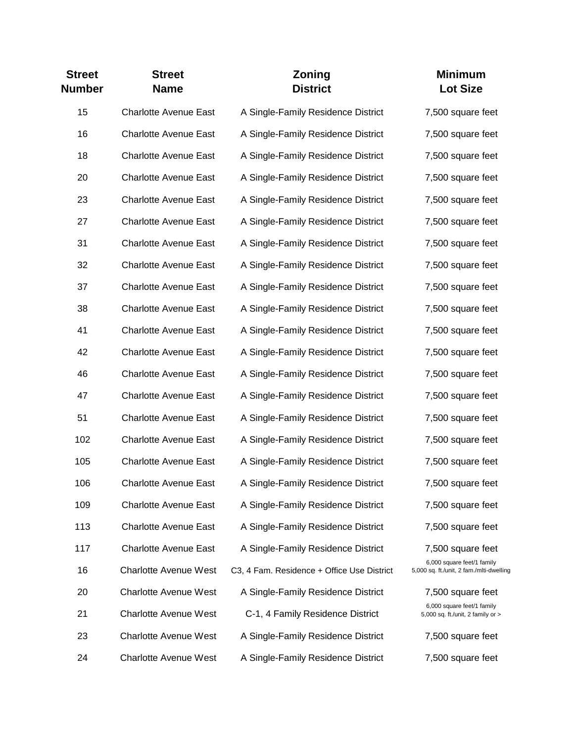| <b>Street</b><br><b>Number</b> | <b>Street</b><br><b>Name</b> | Zoning<br><b>District</b>                  | <b>Minimum</b><br><b>Lot Size</b>                                      |
|--------------------------------|------------------------------|--------------------------------------------|------------------------------------------------------------------------|
| 15                             | <b>Charlotte Avenue East</b> | A Single-Family Residence District         | 7,500 square feet                                                      |
| 16                             | <b>Charlotte Avenue East</b> | A Single-Family Residence District         | 7,500 square feet                                                      |
| 18                             | <b>Charlotte Avenue East</b> | A Single-Family Residence District         | 7,500 square feet                                                      |
| 20                             | <b>Charlotte Avenue East</b> | A Single-Family Residence District         | 7,500 square feet                                                      |
| 23                             | <b>Charlotte Avenue East</b> | A Single-Family Residence District         | 7,500 square feet                                                      |
| 27                             | <b>Charlotte Avenue East</b> | A Single-Family Residence District         | 7,500 square feet                                                      |
| 31                             | <b>Charlotte Avenue East</b> | A Single-Family Residence District         | 7,500 square feet                                                      |
| 32                             | <b>Charlotte Avenue East</b> | A Single-Family Residence District         | 7,500 square feet                                                      |
| 37                             | <b>Charlotte Avenue East</b> | A Single-Family Residence District         | 7,500 square feet                                                      |
| 38                             | <b>Charlotte Avenue East</b> | A Single-Family Residence District         | 7,500 square feet                                                      |
| 41                             | <b>Charlotte Avenue East</b> | A Single-Family Residence District         | 7,500 square feet                                                      |
| 42                             | <b>Charlotte Avenue East</b> | A Single-Family Residence District         | 7,500 square feet                                                      |
| 46                             | <b>Charlotte Avenue East</b> | A Single-Family Residence District         | 7,500 square feet                                                      |
| 47                             | <b>Charlotte Avenue East</b> | A Single-Family Residence District         | 7,500 square feet                                                      |
| 51                             | <b>Charlotte Avenue East</b> | A Single-Family Residence District         | 7,500 square feet                                                      |
| 102                            | <b>Charlotte Avenue East</b> | A Single-Family Residence District         | 7,500 square feet                                                      |
| 105                            | <b>Charlotte Avenue East</b> | A Single-Family Residence District         | 7,500 square feet                                                      |
| 106                            | <b>Charlotte Avenue East</b> | A Single-Family Residence District         | 7,500 square feet                                                      |
| 109                            | <b>Charlotte Avenue East</b> | A Single-Family Residence District         | 7,500 square feet                                                      |
| 113                            | <b>Charlotte Avenue East</b> | A Single-Family Residence District         | 7,500 square feet                                                      |
| 117                            | <b>Charlotte Avenue East</b> | A Single-Family Residence District         | 7,500 square feet                                                      |
| 16                             | <b>Charlotte Avenue West</b> | C3, 4 Fam. Residence + Office Use District | 6,000 square feet/1 family<br>5,000 sq. ft./unit, 2 fam./mlti-dwelling |
| 20                             | <b>Charlotte Avenue West</b> | A Single-Family Residence District         | 7,500 square feet                                                      |
| 21                             | <b>Charlotte Avenue West</b> | C-1, 4 Family Residence District           | 6,000 square feet/1 family<br>5,000 sq. ft./unit, 2 family or >        |
| 23                             | <b>Charlotte Avenue West</b> | A Single-Family Residence District         | 7,500 square feet                                                      |
| 24                             | <b>Charlotte Avenue West</b> | A Single-Family Residence District         | 7,500 square feet                                                      |